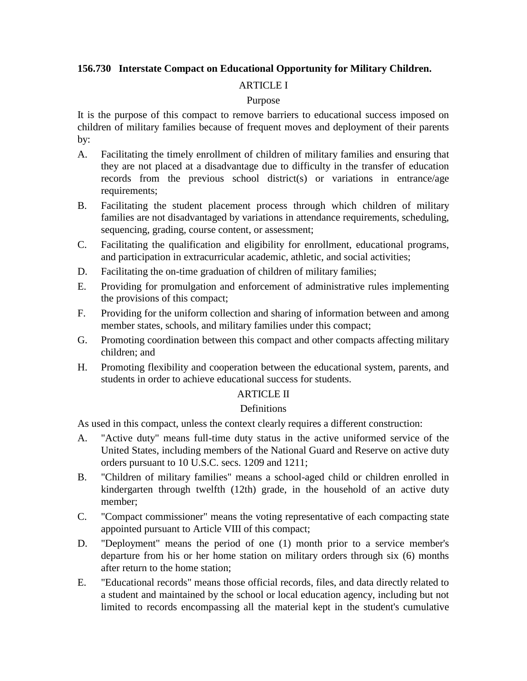# **156.730 Interstate Compact on Educational Opportunity for Military Children.**

## ARTICLE I

#### Purpose

It is the purpose of this compact to remove barriers to educational success imposed on children of military families because of frequent moves and deployment of their parents by:

- A. Facilitating the timely enrollment of children of military families and ensuring that they are not placed at a disadvantage due to difficulty in the transfer of education records from the previous school district(s) or variations in entrance/age requirements:
- B. Facilitating the student placement process through which children of military families are not disadvantaged by variations in attendance requirements, scheduling, sequencing, grading, course content, or assessment;
- C. Facilitating the qualification and eligibility for enrollment, educational programs, and participation in extracurricular academic, athletic, and social activities;
- D. Facilitating the on-time graduation of children of military families;
- E. Providing for promulgation and enforcement of administrative rules implementing the provisions of this compact;
- F. Providing for the uniform collection and sharing of information between and among member states, schools, and military families under this compact;
- G. Promoting coordination between this compact and other compacts affecting military children; and
- H. Promoting flexibility and cooperation between the educational system, parents, and students in order to achieve educational success for students.

#### **ARTICLE II**

#### **Definitions**

As used in this compact, unless the context clearly requires a different construction:

- A. "Active duty" means full-time duty status in the active uniformed service of the United States, including members of the National Guard and Reserve on active duty orders pursuant to 10 U.S.C. secs. 1209 and 1211;
- B. "Children of military families" means a school-aged child or children enrolled in kindergarten through twelfth (12th) grade, in the household of an active duty member;
- C. "Compact commissioner" means the voting representative of each compacting state appointed pursuant to Article VIII of this compact;
- D. "Deployment" means the period of one (1) month prior to a service member's departure from his or her home station on military orders through six (6) months after return to the home station;
- E. "Educational records" means those official records, files, and data directly related to a student and maintained by the school or local education agency, including but not limited to records encompassing all the material kept in the student's cumulative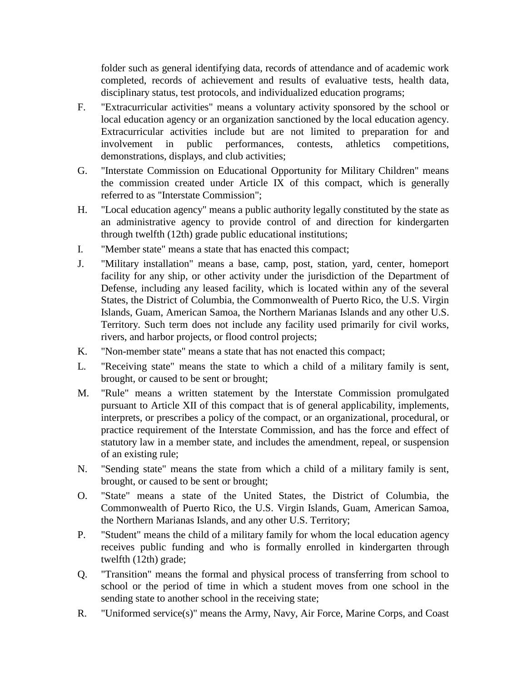folder such as general identifying data, records of attendance and of academic work completed, records of achievement and results of evaluative tests, health data, disciplinary status, test protocols, and individualized education programs;

- F. "Extracurricular activities" means a voluntary activity sponsored by the school or local education agency or an organization sanctioned by the local education agency. Extracurricular activities include but are not limited to preparation for and involvement in public performances, contests, athletics competitions, demonstrations, displays, and club activities;
- G. "Interstate Commission on Educational Opportunity for Military Children" means the commission created under Article IX of this compact, which is generally referred to as "Interstate Commission";
- H. "Local education agency" means a public authority legally constituted by the state as an administrative agency to provide control of and direction for kindergarten through twelfth (12th) grade public educational institutions;
- I. "Member state" means a state that has enacted this compact;
- J. "Military installation" means a base, camp, post, station, yard, center, homeport facility for any ship, or other activity under the jurisdiction of the Department of Defense, including any leased facility, which is located within any of the several States, the District of Columbia, the Commonwealth of Puerto Rico, the U.S. Virgin Islands, Guam, American Samoa, the Northern Marianas Islands and any other U.S. Territory. Such term does not include any facility used primarily for civil works, rivers, and harbor projects, or flood control projects;
- K. "Non-member state" means a state that has not enacted this compact;
- L. "Receiving state" means the state to which a child of a military family is sent, brought, or caused to be sent or brought;
- M. "Rule" means a written statement by the Interstate Commission promulgated pursuant to Article XII of this compact that is of general applicability, implements, interprets, or prescribes a policy of the compact, or an organizational, procedural, or practice requirement of the Interstate Commission, and has the force and effect of statutory law in a member state, and includes the amendment, repeal, or suspension of an existing rule;
- N. "Sending state" means the state from which a child of a military family is sent, brought, or caused to be sent or brought;
- O. "State" means a state of the United States, the District of Columbia, the Commonwealth of Puerto Rico, the U.S. Virgin Islands, Guam, American Samoa, the Northern Marianas Islands, and any other U.S. Territory;
- P. "Student" means the child of a military family for whom the local education agency receives public funding and who is formally enrolled in kindergarten through twelfth (12th) grade;
- Q. "Transition" means the formal and physical process of transferring from school to school or the period of time in which a student moves from one school in the sending state to another school in the receiving state;
- R. "Uniformed service(s)" means the Army, Navy, Air Force, Marine Corps, and Coast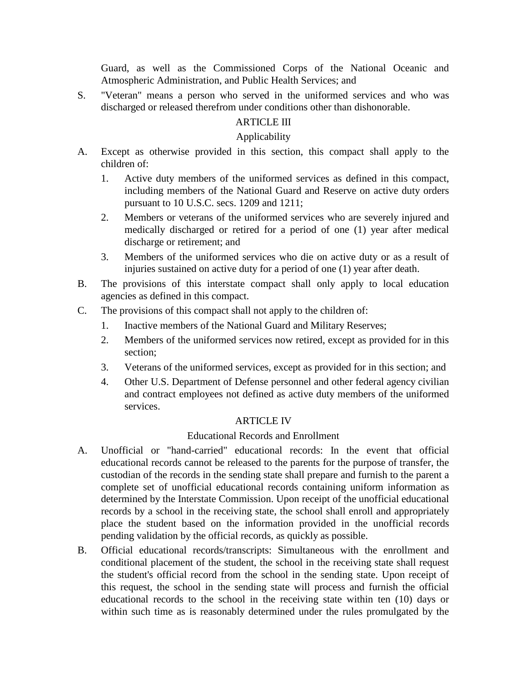Guard, as well as the Commissioned Corps of the National Oceanic and Atmospheric Administration, and Public Health Services; and

S. "Veteran" means a person who served in the uniformed services and who was discharged or released therefrom under conditions other than dishonorable.

# ARTICLE III

## Applicability

- A. Except as otherwise provided in this section, this compact shall apply to the children of:
	- 1. Active duty members of the uniformed services as defined in this compact, including members of the National Guard and Reserve on active duty orders pursuant to 10 U.S.C. secs. 1209 and 1211;
	- 2. Members or veterans of the uniformed services who are severely injured and medically discharged or retired for a period of one (1) year after medical discharge or retirement; and
	- 3. Members of the uniformed services who die on active duty or as a result of injuries sustained on active duty for a period of one (1) year after death.
- B. The provisions of this interstate compact shall only apply to local education agencies as defined in this compact.
- C. The provisions of this compact shall not apply to the children of:
	- 1. Inactive members of the National Guard and Military Reserves;
	- 2. Members of the uniformed services now retired, except as provided for in this section;
	- 3. Veterans of the uniformed services, except as provided for in this section; and
	- 4. Other U.S. Department of Defense personnel and other federal agency civilian and contract employees not defined as active duty members of the uniformed services.

# ARTICLE IV

#### Educational Records and Enrollment

- A. Unofficial or "hand-carried" educational records: In the event that official educational records cannot be released to the parents for the purpose of transfer, the custodian of the records in the sending state shall prepare and furnish to the parent a complete set of unofficial educational records containing uniform information as determined by the Interstate Commission. Upon receipt of the unofficial educational records by a school in the receiving state, the school shall enroll and appropriately place the student based on the information provided in the unofficial records pending validation by the official records, as quickly as possible.
- B. Official educational records/transcripts: Simultaneous with the enrollment and conditional placement of the student, the school in the receiving state shall request the student's official record from the school in the sending state. Upon receipt of this request, the school in the sending state will process and furnish the official educational records to the school in the receiving state within ten (10) days or within such time as is reasonably determined under the rules promulgated by the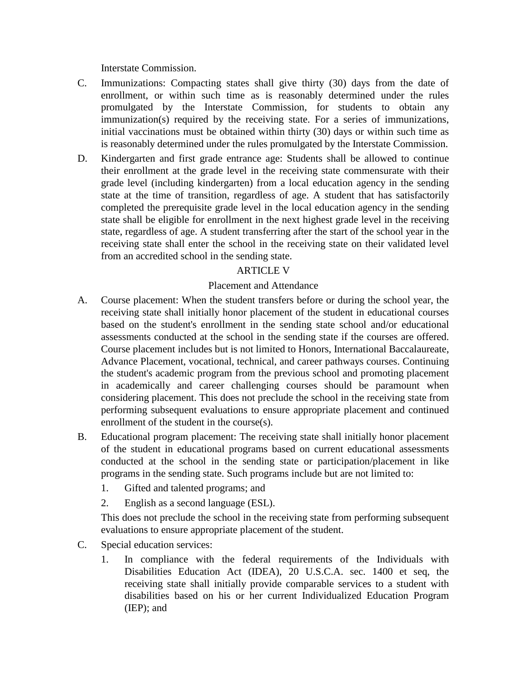Interstate Commission.

- C. Immunizations: Compacting states shall give thirty (30) days from the date of enrollment, or within such time as is reasonably determined under the rules promulgated by the Interstate Commission, for students to obtain any immunization(s) required by the receiving state. For a series of immunizations, initial vaccinations must be obtained within thirty (30) days or within such time as is reasonably determined under the rules promulgated by the Interstate Commission.
- D. Kindergarten and first grade entrance age: Students shall be allowed to continue their enrollment at the grade level in the receiving state commensurate with their grade level (including kindergarten) from a local education agency in the sending state at the time of transition, regardless of age. A student that has satisfactorily completed the prerequisite grade level in the local education agency in the sending state shall be eligible for enrollment in the next highest grade level in the receiving state, regardless of age. A student transferring after the start of the school year in the receiving state shall enter the school in the receiving state on their validated level from an accredited school in the sending state.

## ARTICLE V

## Placement and Attendance

- A. Course placement: When the student transfers before or during the school year, the receiving state shall initially honor placement of the student in educational courses based on the student's enrollment in the sending state school and/or educational assessments conducted at the school in the sending state if the courses are offered. Course placement includes but is not limited to Honors, International Baccalaureate, Advance Placement, vocational, technical, and career pathways courses. Continuing the student's academic program from the previous school and promoting placement in academically and career challenging courses should be paramount when considering placement. This does not preclude the school in the receiving state from performing subsequent evaluations to ensure appropriate placement and continued enrollment of the student in the course(s).
- B. Educational program placement: The receiving state shall initially honor placement of the student in educational programs based on current educational assessments conducted at the school in the sending state or participation/placement in like programs in the sending state. Such programs include but are not limited to:
	- 1. Gifted and talented programs; and
	- 2. English as a second language (ESL).

This does not preclude the school in the receiving state from performing subsequent evaluations to ensure appropriate placement of the student.

- C. Special education services:
	- 1. In compliance with the federal requirements of the Individuals with Disabilities Education Act (IDEA), 20 U.S.C.A. sec. 1400 et seq, the receiving state shall initially provide comparable services to a student with disabilities based on his or her current Individualized Education Program (IEP); and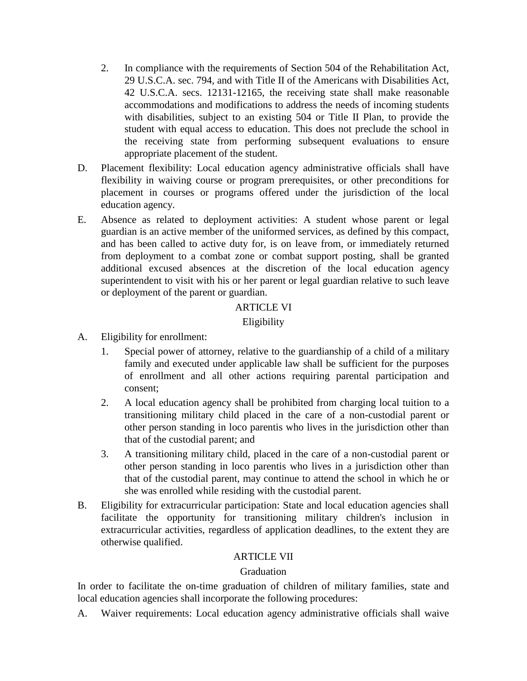- 2. In compliance with the requirements of Section 504 of the Rehabilitation Act, 29 U.S.C.A. sec. 794, and with Title II of the Americans with Disabilities Act, 42 U.S.C.A. secs. 12131-12165, the receiving state shall make reasonable accommodations and modifications to address the needs of incoming students with disabilities, subject to an existing 504 or Title II Plan, to provide the student with equal access to education. This does not preclude the school in the receiving state from performing subsequent evaluations to ensure appropriate placement of the student.
- D. Placement flexibility: Local education agency administrative officials shall have flexibility in waiving course or program prerequisites, or other preconditions for placement in courses or programs offered under the jurisdiction of the local education agency.
- E. Absence as related to deployment activities: A student whose parent or legal guardian is an active member of the uniformed services, as defined by this compact, and has been called to active duty for, is on leave from, or immediately returned from deployment to a combat zone or combat support posting, shall be granted additional excused absences at the discretion of the local education agency superintendent to visit with his or her parent or legal guardian relative to such leave or deployment of the parent or guardian.

## ARTICLE VI

## Eligibility

- A. Eligibility for enrollment:
	- 1. Special power of attorney, relative to the guardianship of a child of a military family and executed under applicable law shall be sufficient for the purposes of enrollment and all other actions requiring parental participation and consent;
	- 2. A local education agency shall be prohibited from charging local tuition to a transitioning military child placed in the care of a non-custodial parent or other person standing in loco parentis who lives in the jurisdiction other than that of the custodial parent; and
	- 3. A transitioning military child, placed in the care of a non-custodial parent or other person standing in loco parentis who lives in a jurisdiction other than that of the custodial parent, may continue to attend the school in which he or she was enrolled while residing with the custodial parent.
- B. Eligibility for extracurricular participation: State and local education agencies shall facilitate the opportunity for transitioning military children's inclusion in extracurricular activities, regardless of application deadlines, to the extent they are otherwise qualified.

# ARTICLE VII

#### Graduation

In order to facilitate the on-time graduation of children of military families, state and local education agencies shall incorporate the following procedures:

A. Waiver requirements: Local education agency administrative officials shall waive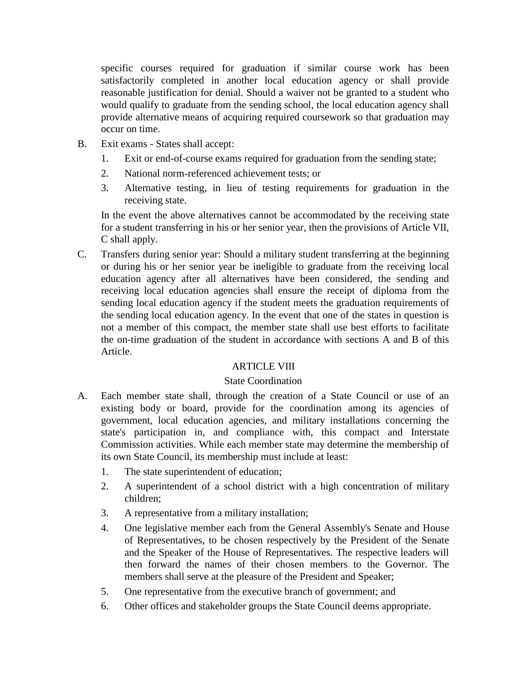specific courses required for graduation if similar course work has been satisfactorily completed in another local education agency or shall provide reasonable justification for denial. Should a waiver not be granted to a student who would qualify to graduate from the sending school, the local education agency shall provide alternative means of acquiring required coursework so that graduation may occur on time.

- B. Exit exams States shall accept:
	- 1. Exit or end-of-course exams required for graduation from the sending state;
	- 2. National norm-referenced achievement tests; or
	- 3. Alternative testing, in lieu of testing requirements for graduation in the receiving state.

In the event the above alternatives cannot be accommodated by the receiving state for a student transferring in his or her senior year, then the provisions of Article VII, C shall apply.

C. Transfers during senior year: Should a military student transferring at the beginning or during his or her senior year be ineligible to graduate from the receiving local education agency after all alternatives have been considered, the sending and receiving local education agencies shall ensure the receipt of diploma from the sending local education agency if the student meets the graduation requirements of the sending local education agency. In the event that one of the states in question is not a member of this compact, the member state shall use best efforts to facilitate the on-time graduation of the student in accordance with sections A and B of this Article.

# **ARTICLE VIII**

# State Coordination

- A. Each member state shall, through the creation of a State Council or use of an existing body or board, provide for the coordination among its agencies of government, local education agencies, and military installations concerning the state's participation in, and compliance with, this compact and Interstate Commission activities. While each member state may determine the membership of its own State Council, its membership must include at least:
	- 1. The state superintendent of education;
	- 2. A superintendent of a school district with a high concentration of military children;
	- 3. A representative from a military installation;
	- 4. One legislative member each from the General Assembly's Senate and House of Representatives, to be chosen respectively by the President of the Senate and the Speaker of the House of Representatives. The respective leaders will then forward the names of their chosen members to the Governor. The members shall serve at the pleasure of the President and Speaker;
	- 5. One representative from the executive branch of government; and
	- 6. Other offices and stakeholder groups the State Council deems appropriate.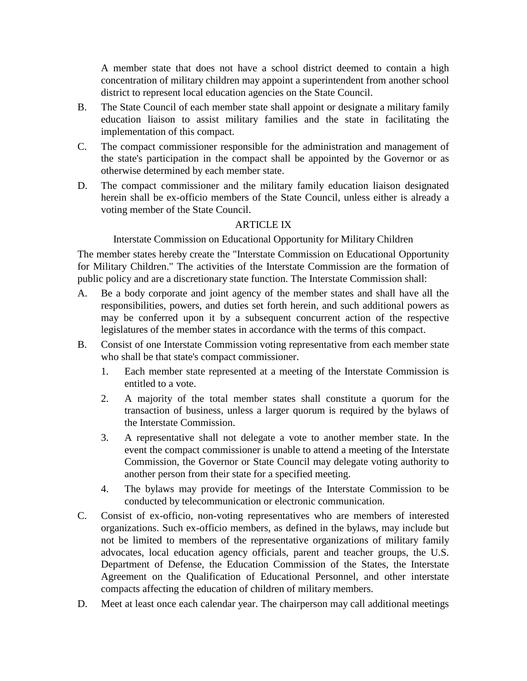A member state that does not have a school district deemed to contain a high concentration of military children may appoint a superintendent from another school district to represent local education agencies on the State Council.

- B. The State Council of each member state shall appoint or designate a military family education liaison to assist military families and the state in facilitating the implementation of this compact.
- C. The compact commissioner responsible for the administration and management of the state's participation in the compact shall be appointed by the Governor or as otherwise determined by each member state.
- D. The compact commissioner and the military family education liaison designated herein shall be ex-officio members of the State Council, unless either is already a voting member of the State Council.

#### ARTICLE IX

Interstate Commission on Educational Opportunity for Military Children

The member states hereby create the "Interstate Commission on Educational Opportunity for Military Children." The activities of the Interstate Commission are the formation of public policy and are a discretionary state function. The Interstate Commission shall:

- A. Be a body corporate and joint agency of the member states and shall have all the responsibilities, powers, and duties set forth herein, and such additional powers as may be conferred upon it by a subsequent concurrent action of the respective legislatures of the member states in accordance with the terms of this compact.
- B. Consist of one Interstate Commission voting representative from each member state who shall be that state's compact commissioner.
	- 1. Each member state represented at a meeting of the Interstate Commission is entitled to a vote.
	- 2. A majority of the total member states shall constitute a quorum for the transaction of business, unless a larger quorum is required by the bylaws of the Interstate Commission.
	- 3. A representative shall not delegate a vote to another member state. In the event the compact commissioner is unable to attend a meeting of the Interstate Commission, the Governor or State Council may delegate voting authority to another person from their state for a specified meeting.
	- 4. The bylaws may provide for meetings of the Interstate Commission to be conducted by telecommunication or electronic communication.
- C. Consist of ex-officio, non-voting representatives who are members of interested organizations. Such ex-officio members, as defined in the bylaws, may include but not be limited to members of the representative organizations of military family advocates, local education agency officials, parent and teacher groups, the U.S. Department of Defense, the Education Commission of the States, the Interstate Agreement on the Qualification of Educational Personnel, and other interstate compacts affecting the education of children of military members.
- D. Meet at least once each calendar year. The chairperson may call additional meetings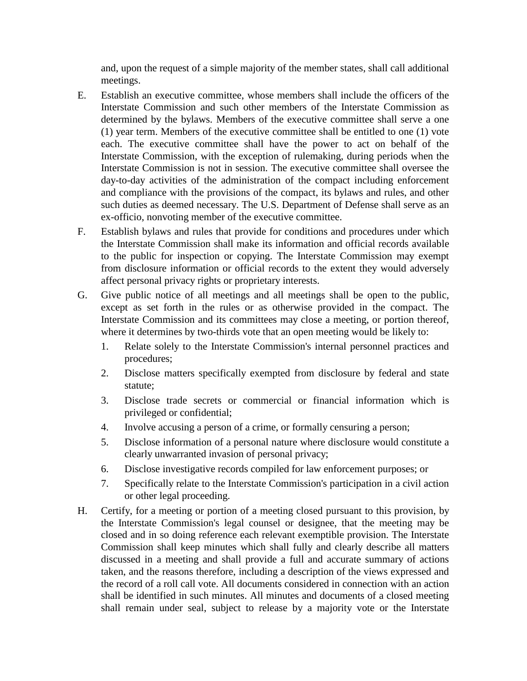and, upon the request of a simple majority of the member states, shall call additional meetings.

- E. Establish an executive committee, whose members shall include the officers of the Interstate Commission and such other members of the Interstate Commission as determined by the bylaws. Members of the executive committee shall serve a one (1) year term. Members of the executive committee shall be entitled to one (1) vote each. The executive committee shall have the power to act on behalf of the Interstate Commission, with the exception of rulemaking, during periods when the Interstate Commission is not in session. The executive committee shall oversee the day-to-day activities of the administration of the compact including enforcement and compliance with the provisions of the compact, its bylaws and rules, and other such duties as deemed necessary. The U.S. Department of Defense shall serve as an ex-officio, nonvoting member of the executive committee.
- F. Establish bylaws and rules that provide for conditions and procedures under which the Interstate Commission shall make its information and official records available to the public for inspection or copying. The Interstate Commission may exempt from disclosure information or official records to the extent they would adversely affect personal privacy rights or proprietary interests.
- G. Give public notice of all meetings and all meetings shall be open to the public, except as set forth in the rules or as otherwise provided in the compact. The Interstate Commission and its committees may close a meeting, or portion thereof, where it determines by two-thirds vote that an open meeting would be likely to:
	- 1. Relate solely to the Interstate Commission's internal personnel practices and procedures;
	- 2. Disclose matters specifically exempted from disclosure by federal and state statute;
	- 3. Disclose trade secrets or commercial or financial information which is privileged or confidential;
	- 4. Involve accusing a person of a crime, or formally censuring a person;
	- 5. Disclose information of a personal nature where disclosure would constitute a clearly unwarranted invasion of personal privacy;
	- 6. Disclose investigative records compiled for law enforcement purposes; or
	- 7. Specifically relate to the Interstate Commission's participation in a civil action or other legal proceeding.
- H. Certify, for a meeting or portion of a meeting closed pursuant to this provision, by the Interstate Commission's legal counsel or designee, that the meeting may be closed and in so doing reference each relevant exemptible provision. The Interstate Commission shall keep minutes which shall fully and clearly describe all matters discussed in a meeting and shall provide a full and accurate summary of actions taken, and the reasons therefore, including a description of the views expressed and the record of a roll call vote. All documents considered in connection with an action shall be identified in such minutes. All minutes and documents of a closed meeting shall remain under seal, subject to release by a majority vote or the Interstate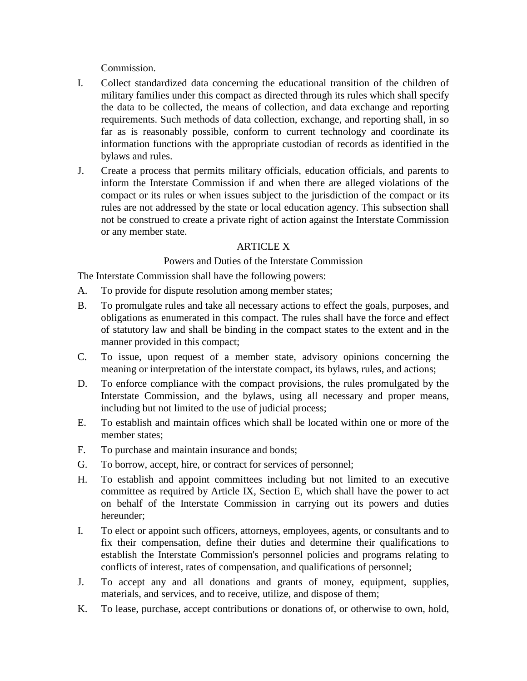Commission.

- I. Collect standardized data concerning the educational transition of the children of military families under this compact as directed through its rules which shall specify the data to be collected, the means of collection, and data exchange and reporting requirements. Such methods of data collection, exchange, and reporting shall, in so far as is reasonably possible, conform to current technology and coordinate its information functions with the appropriate custodian of records as identified in the bylaws and rules.
- J. Create a process that permits military officials, education officials, and parents to inform the Interstate Commission if and when there are alleged violations of the compact or its rules or when issues subject to the jurisdiction of the compact or its rules are not addressed by the state or local education agency. This subsection shall not be construed to create a private right of action against the Interstate Commission or any member state.

# **ARTICLE X**

## Powers and Duties of the Interstate Commission

The Interstate Commission shall have the following powers:

- A. To provide for dispute resolution among member states;
- B. To promulgate rules and take all necessary actions to effect the goals, purposes, and obligations as enumerated in this compact. The rules shall have the force and effect of statutory law and shall be binding in the compact states to the extent and in the manner provided in this compact;
- C. To issue, upon request of a member state, advisory opinions concerning the meaning or interpretation of the interstate compact, its bylaws, rules, and actions;
- D. To enforce compliance with the compact provisions, the rules promulgated by the Interstate Commission, and the bylaws, using all necessary and proper means, including but not limited to the use of judicial process;
- E. To establish and maintain offices which shall be located within one or more of the member states;
- F. To purchase and maintain insurance and bonds;
- G. To borrow, accept, hire, or contract for services of personnel;
- H. To establish and appoint committees including but not limited to an executive committee as required by Article IX, Section E, which shall have the power to act on behalf of the Interstate Commission in carrying out its powers and duties hereunder;
- I. To elect or appoint such officers, attorneys, employees, agents, or consultants and to fix their compensation, define their duties and determine their qualifications to establish the Interstate Commission's personnel policies and programs relating to conflicts of interest, rates of compensation, and qualifications of personnel;
- J. To accept any and all donations and grants of money, equipment, supplies, materials, and services, and to receive, utilize, and dispose of them;
- K. To lease, purchase, accept contributions or donations of, or otherwise to own, hold,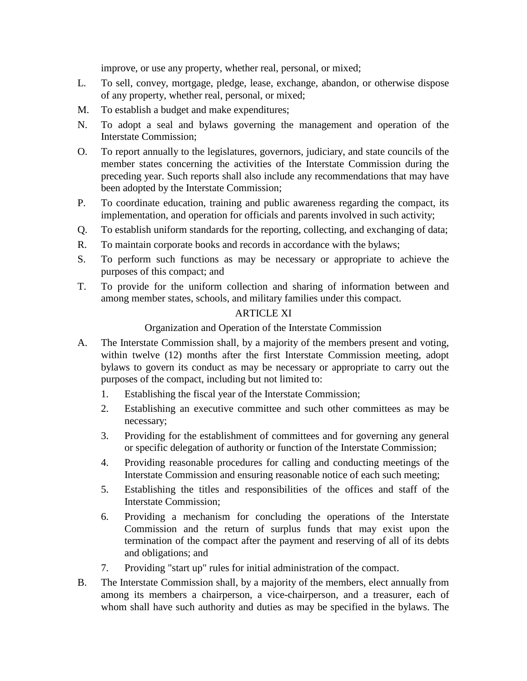improve, or use any property, whether real, personal, or mixed;

- L. To sell, convey, mortgage, pledge, lease, exchange, abandon, or otherwise dispose of any property, whether real, personal, or mixed;
- M. To establish a budget and make expenditures;
- N. To adopt a seal and bylaws governing the management and operation of the Interstate Commission;
- O. To report annually to the legislatures, governors, judiciary, and state councils of the member states concerning the activities of the Interstate Commission during the preceding year. Such reports shall also include any recommendations that may have been adopted by the Interstate Commission;
- P. To coordinate education, training and public awareness regarding the compact, its implementation, and operation for officials and parents involved in such activity;
- Q. To establish uniform standards for the reporting, collecting, and exchanging of data;
- R. To maintain corporate books and records in accordance with the bylaws;
- S. To perform such functions as may be necessary or appropriate to achieve the purposes of this compact; and
- T. To provide for the uniform collection and sharing of information between and among member states, schools, and military families under this compact.

# ARTICLE XI

# Organization and Operation of the Interstate Commission

- A. The Interstate Commission shall, by a majority of the members present and voting, within twelve (12) months after the first Interstate Commission meeting, adopt bylaws to govern its conduct as may be necessary or appropriate to carry out the purposes of the compact, including but not limited to:
	- 1. Establishing the fiscal year of the Interstate Commission;
	- 2. Establishing an executive committee and such other committees as may be necessary;
	- 3. Providing for the establishment of committees and for governing any general or specific delegation of authority or function of the Interstate Commission;
	- 4. Providing reasonable procedures for calling and conducting meetings of the Interstate Commission and ensuring reasonable notice of each such meeting;
	- 5. Establishing the titles and responsibilities of the offices and staff of the Interstate Commission;
	- 6. Providing a mechanism for concluding the operations of the Interstate Commission and the return of surplus funds that may exist upon the termination of the compact after the payment and reserving of all of its debts and obligations; and
	- 7. Providing "start up" rules for initial administration of the compact.
- B. The Interstate Commission shall, by a majority of the members, elect annually from among its members a chairperson, a vice-chairperson, and a treasurer, each of whom shall have such authority and duties as may be specified in the bylaws. The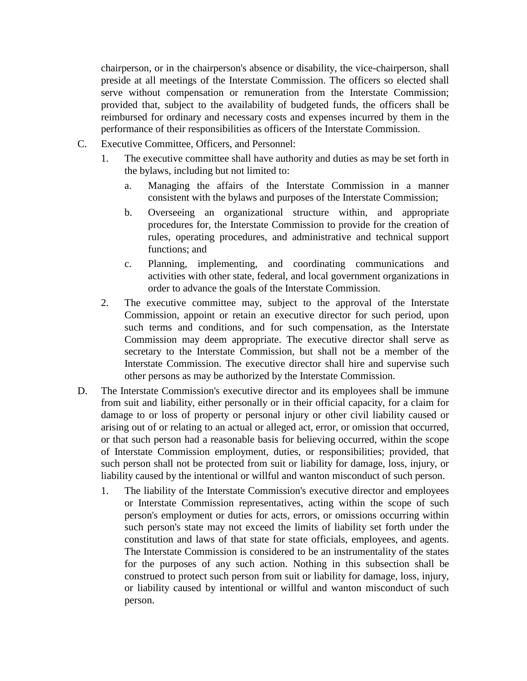chairperson, or in the chairperson's absence or disability, the vice-chairperson, shall preside at all meetings of the Interstate Commission. The officers so elected shall serve without compensation or remuneration from the Interstate Commission; provided that, subject to the availability of budgeted funds, the officers shall be reimbursed for ordinary and necessary costs and expenses incurred by them in the performance of their responsibilities as officers of the Interstate Commission.

- C. Executive Committee, Officers, and Personnel:
	- 1. The executive committee shall have authority and duties as may be set forth in the bylaws, including but not limited to:
		- a. Managing the affairs of the Interstate Commission in a manner consistent with the bylaws and purposes of the Interstate Commission;
		- b. Overseeing an organizational structure within, and appropriate procedures for, the Interstate Commission to provide for the creation of rules, operating procedures, and administrative and technical support functions; and
		- c. Planning, implementing, and coordinating communications and activities with other state, federal, and local government organizations in order to advance the goals of the Interstate Commission.
	- 2. The executive committee may, subject to the approval of the Interstate Commission, appoint or retain an executive director for such period, upon such terms and conditions, and for such compensation, as the Interstate Commission may deem appropriate. The executive director shall serve as secretary to the Interstate Commission, but shall not be a member of the Interstate Commission. The executive director shall hire and supervise such other persons as may be authorized by the Interstate Commission.
- D. The Interstate Commission's executive director and its employees shall be immune from suit and liability, either personally or in their official capacity, for a claim for damage to or loss of property or personal injury or other civil liability caused or arising out of or relating to an actual or alleged act, error, or omission that occurred, or that such person had a reasonable basis for believing occurred, within the scope of Interstate Commission employment, duties, or responsibilities; provided, that such person shall not be protected from suit or liability for damage, loss, injury, or liability caused by the intentional or willful and wanton misconduct of such person.
	- 1. The liability of the Interstate Commission's executive director and employees or Interstate Commission representatives, acting within the scope of such person's employment or duties for acts, errors, or omissions occurring within such person's state may not exceed the limits of liability set forth under the constitution and laws of that state for state officials, employees, and agents. The Interstate Commission is considered to be an instrumentality of the states for the purposes of any such action. Nothing in this subsection shall be construed to protect such person from suit or liability for damage, loss, injury, or liability caused by intentional or willful and wanton misconduct of such person.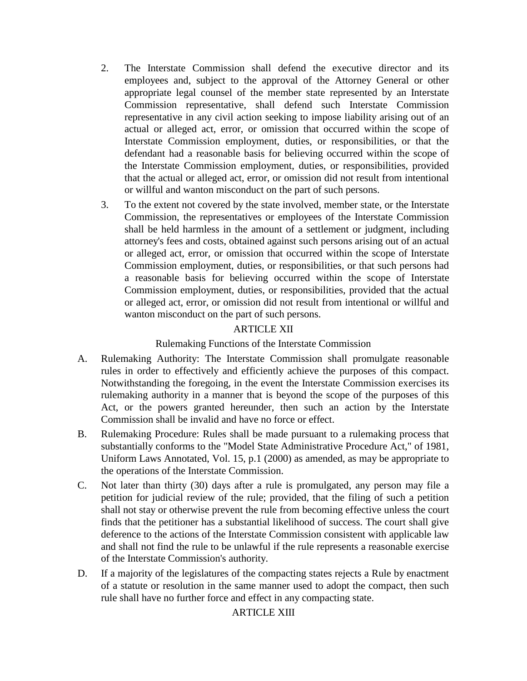- 2. The Interstate Commission shall defend the executive director and its employees and, subject to the approval of the Attorney General or other appropriate legal counsel of the member state represented by an Interstate Commission representative, shall defend such Interstate Commission representative in any civil action seeking to impose liability arising out of an actual or alleged act, error, or omission that occurred within the scope of Interstate Commission employment, duties, or responsibilities, or that the defendant had a reasonable basis for believing occurred within the scope of the Interstate Commission employment, duties, or responsibilities, provided that the actual or alleged act, error, or omission did not result from intentional or willful and wanton misconduct on the part of such persons.
- 3. To the extent not covered by the state involved, member state, or the Interstate Commission, the representatives or employees of the Interstate Commission shall be held harmless in the amount of a settlement or judgment, including attorney's fees and costs, obtained against such persons arising out of an actual or alleged act, error, or omission that occurred within the scope of Interstate Commission employment, duties, or responsibilities, or that such persons had a reasonable basis for believing occurred within the scope of Interstate Commission employment, duties, or responsibilities, provided that the actual or alleged act, error, or omission did not result from intentional or willful and wanton misconduct on the part of such persons.

# ARTICLE XII

## Rulemaking Functions of the Interstate Commission

- A. Rulemaking Authority: The Interstate Commission shall promulgate reasonable rules in order to effectively and efficiently achieve the purposes of this compact. Notwithstanding the foregoing, in the event the Interstate Commission exercises its rulemaking authority in a manner that is beyond the scope of the purposes of this Act, or the powers granted hereunder, then such an action by the Interstate Commission shall be invalid and have no force or effect.
- B. Rulemaking Procedure: Rules shall be made pursuant to a rulemaking process that substantially conforms to the "Model State Administrative Procedure Act," of 1981, Uniform Laws Annotated, Vol. 15, p.1 (2000) as amended, as may be appropriate to the operations of the Interstate Commission.
- C. Not later than thirty (30) days after a rule is promulgated, any person may file a petition for judicial review of the rule; provided, that the filing of such a petition shall not stay or otherwise prevent the rule from becoming effective unless the court finds that the petitioner has a substantial likelihood of success. The court shall give deference to the actions of the Interstate Commission consistent with applicable law and shall not find the rule to be unlawful if the rule represents a reasonable exercise of the Interstate Commission's authority.
- D. If a majority of the legislatures of the compacting states rejects a Rule by enactment of a statute or resolution in the same manner used to adopt the compact, then such rule shall have no further force and effect in any compacting state.

# ARTICLE XIII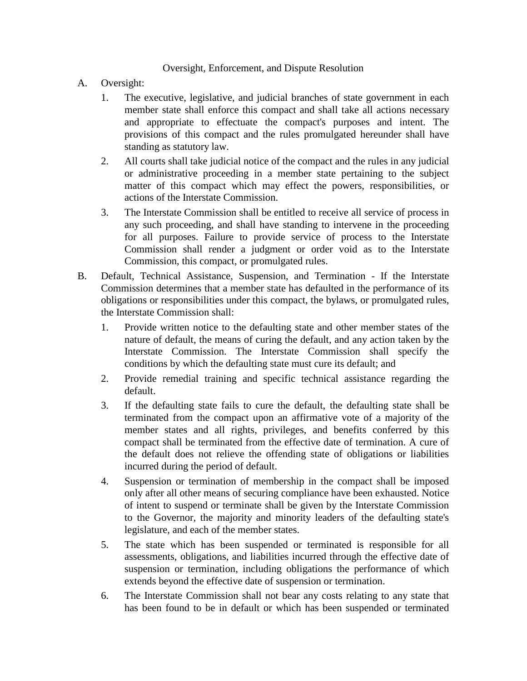## Oversight, Enforcement, and Dispute Resolution

- A. Oversight:
	- 1. The executive, legislative, and judicial branches of state government in each member state shall enforce this compact and shall take all actions necessary and appropriate to effectuate the compact's purposes and intent. The provisions of this compact and the rules promulgated hereunder shall have standing as statutory law.
	- 2. All courts shall take judicial notice of the compact and the rules in any judicial or administrative proceeding in a member state pertaining to the subject matter of this compact which may effect the powers, responsibilities, or actions of the Interstate Commission.
	- 3. The Interstate Commission shall be entitled to receive all service of process in any such proceeding, and shall have standing to intervene in the proceeding for all purposes. Failure to provide service of process to the Interstate Commission shall render a judgment or order void as to the Interstate Commission, this compact, or promulgated rules.
- B. Default, Technical Assistance, Suspension, and Termination If the Interstate Commission determines that a member state has defaulted in the performance of its obligations or responsibilities under this compact, the bylaws, or promulgated rules, the Interstate Commission shall:
	- 1. Provide written notice to the defaulting state and other member states of the nature of default, the means of curing the default, and any action taken by the Interstate Commission. The Interstate Commission shall specify the conditions by which the defaulting state must cure its default; and
	- 2. Provide remedial training and specific technical assistance regarding the default.
	- 3. If the defaulting state fails to cure the default, the defaulting state shall be terminated from the compact upon an affirmative vote of a majority of the member states and all rights, privileges, and benefits conferred by this compact shall be terminated from the effective date of termination. A cure of the default does not relieve the offending state of obligations or liabilities incurred during the period of default.
	- 4. Suspension or termination of membership in the compact shall be imposed only after all other means of securing compliance have been exhausted. Notice of intent to suspend or terminate shall be given by the Interstate Commission to the Governor, the majority and minority leaders of the defaulting state's legislature, and each of the member states.
	- 5. The state which has been suspended or terminated is responsible for all assessments, obligations, and liabilities incurred through the effective date of suspension or termination, including obligations the performance of which extends beyond the effective date of suspension or termination.
	- 6. The Interstate Commission shall not bear any costs relating to any state that has been found to be in default or which has been suspended or terminated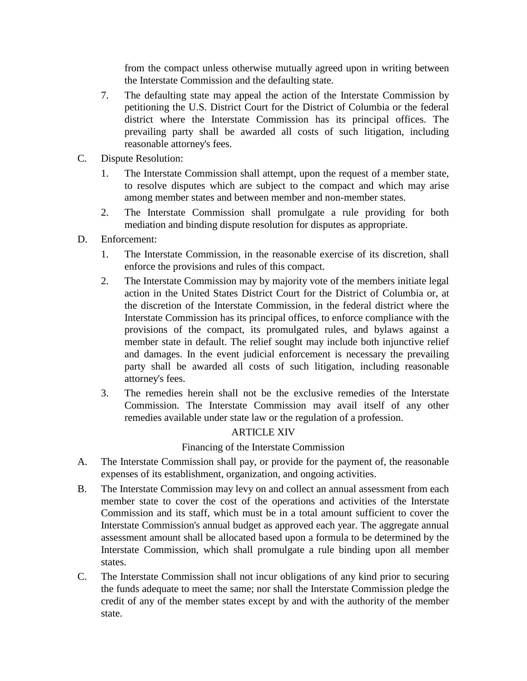from the compact unless otherwise mutually agreed upon in writing between the Interstate Commission and the defaulting state.

- 7. The defaulting state may appeal the action of the Interstate Commission by petitioning the U.S. District Court for the District of Columbia or the federal district where the Interstate Commission has its principal offices. The prevailing party shall be awarded all costs of such litigation, including reasonable attorney's fees.
- C. Dispute Resolution:
	- 1. The Interstate Commission shall attempt, upon the request of a member state, to resolve disputes which are subject to the compact and which may arise among member states and between member and non-member states.
	- 2. The Interstate Commission shall promulgate a rule providing for both mediation and binding dispute resolution for disputes as appropriate.
- D. Enforcement:
	- 1. The Interstate Commission, in the reasonable exercise of its discretion, shall enforce the provisions and rules of this compact.
	- 2. The Interstate Commission may by majority vote of the members initiate legal action in the United States District Court for the District of Columbia or, at the discretion of the Interstate Commission, in the federal district where the Interstate Commission has its principal offices, to enforce compliance with the provisions of the compact, its promulgated rules, and bylaws against a member state in default. The relief sought may include both injunctive relief and damages. In the event judicial enforcement is necessary the prevailing party shall be awarded all costs of such litigation, including reasonable attorney's fees.
	- 3. The remedies herein shall not be the exclusive remedies of the Interstate Commission. The Interstate Commission may avail itself of any other remedies available under state law or the regulation of a profession.

# ARTICLE XIV

# Financing of the Interstate Commission

- A. The Interstate Commission shall pay, or provide for the payment of, the reasonable expenses of its establishment, organization, and ongoing activities.
- B. The Interstate Commission may levy on and collect an annual assessment from each member state to cover the cost of the operations and activities of the Interstate Commission and its staff, which must be in a total amount sufficient to cover the Interstate Commission's annual budget as approved each year. The aggregate annual assessment amount shall be allocated based upon a formula to be determined by the Interstate Commission, which shall promulgate a rule binding upon all member states.
- C. The Interstate Commission shall not incur obligations of any kind prior to securing the funds adequate to meet the same; nor shall the Interstate Commission pledge the credit of any of the member states except by and with the authority of the member state.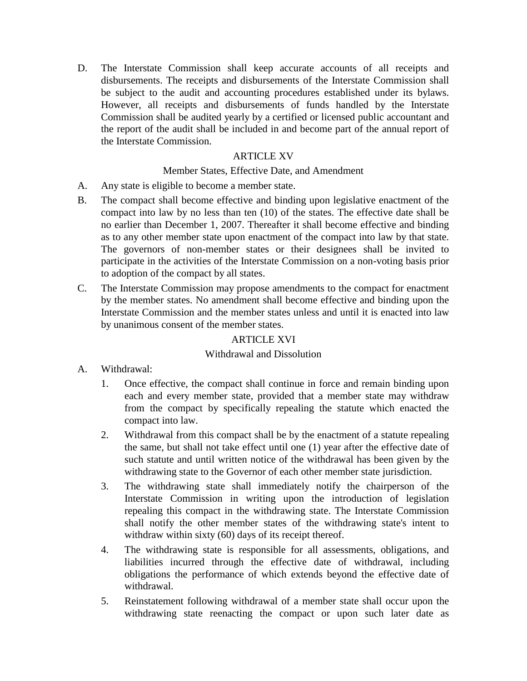D. The Interstate Commission shall keep accurate accounts of all receipts and disbursements. The receipts and disbursements of the Interstate Commission shall be subject to the audit and accounting procedures established under its bylaws. However, all receipts and disbursements of funds handled by the Interstate Commission shall be audited yearly by a certified or licensed public accountant and the report of the audit shall be included in and become part of the annual report of the Interstate Commission.

# ARTICLE XV

## Member States, Effective Date, and Amendment

- A. Any state is eligible to become a member state.
- B. The compact shall become effective and binding upon legislative enactment of the compact into law by no less than ten (10) of the states. The effective date shall be no earlier than December 1, 2007. Thereafter it shall become effective and binding as to any other member state upon enactment of the compact into law by that state. The governors of non-member states or their designees shall be invited to participate in the activities of the Interstate Commission on a non-voting basis prior to adoption of the compact by all states.
- C. The Interstate Commission may propose amendments to the compact for enactment by the member states. No amendment shall become effective and binding upon the Interstate Commission and the member states unless and until it is enacted into law by unanimous consent of the member states.

## ARTICLE XVI

#### Withdrawal and Dissolution

- A. Withdrawal:
	- 1. Once effective, the compact shall continue in force and remain binding upon each and every member state, provided that a member state may withdraw from the compact by specifically repealing the statute which enacted the compact into law.
	- 2. Withdrawal from this compact shall be by the enactment of a statute repealing the same, but shall not take effect until one (1) year after the effective date of such statute and until written notice of the withdrawal has been given by the withdrawing state to the Governor of each other member state jurisdiction.
	- 3. The withdrawing state shall immediately notify the chairperson of the Interstate Commission in writing upon the introduction of legislation repealing this compact in the withdrawing state. The Interstate Commission shall notify the other member states of the withdrawing state's intent to withdraw within sixty (60) days of its receipt thereof.
	- 4. The withdrawing state is responsible for all assessments, obligations, and liabilities incurred through the effective date of withdrawal, including obligations the performance of which extends beyond the effective date of withdrawal.
	- 5. Reinstatement following withdrawal of a member state shall occur upon the withdrawing state reenacting the compact or upon such later date as